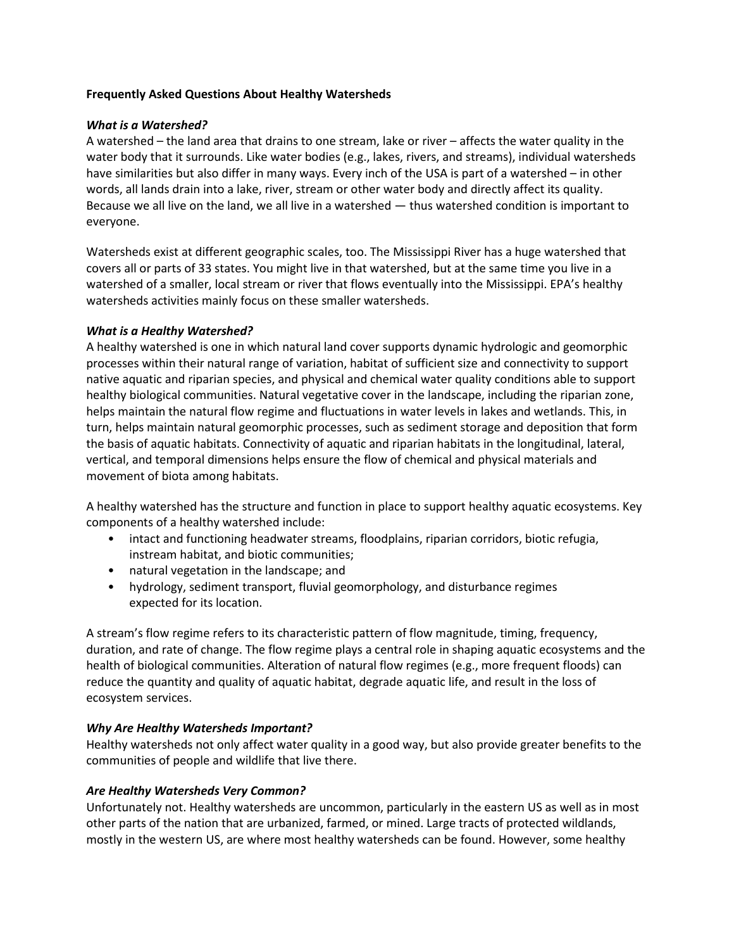### **Frequently Asked Questions About Healthy Watersheds**

## *What is a Watershed?*

A watershed – the land area that drains to one stream, lake or river – affects the water quality in the water body that it surrounds. Like water bodies (e.g., lakes, rivers, and streams), individual watersheds have similarities but also differ in many ways. Every inch of the USA is part of a watershed – in other words, all lands drain into a lake, river, stream or other water body and directly affect its quality. Because we all live on the land, we all live in a watershed — thus watershed condition is important to everyone.

Watersheds exist at different geographic scales, too. The Mississippi River has a huge watershed that covers all or parts of 33 states. You might live in that watershed, but at the same time you live in a watershed of a smaller, local stream or river that flows eventually into the Mississippi. EPA's healthy watersheds activities mainly focus on these smaller watersheds.

## *What is a Healthy Watershed?*

A healthy watershed is one in which natural land cover supports dynamic hydrologic and geomorphic processes within their natural range of variation, habitat of sufficient size and connectivity to support native aquatic and riparian species, and physical and chemical water quality conditions able to support healthy biological communities. Natural vegetative cover in the landscape, including the riparian zone, helps maintain the natural flow regime and fluctuations in water levels in lakes and wetlands. This, in turn, helps maintain natural geomorphic processes, such as sediment storage and deposition that form the basis of aquatic habitats. Connectivity of aquatic and riparian habitats in the longitudinal, lateral, vertical, and temporal dimensions helps ensure the flow of chemical and physical materials and movement of biota among habitats.

A healthy watershed has the structure and function in place to support healthy aquatic ecosystems. Key components of a healthy watershed include:

- intact and functioning headwater streams, floodplains, riparian corridors, biotic refugia, instream habitat, and biotic communities;
- natural vegetation in the landscape; and
- hydrology, sediment transport, fluvial geomorphology, and disturbance regimes expected for its location.

A stream's flow regime refers to its characteristic pattern of flow magnitude, timing, frequency, duration, and rate of change. The flow regime plays a central role in shaping aquatic ecosystems and the health of biological communities. Alteration of natural flow regimes (e.g., more frequent floods) can reduce the quantity and quality of aquatic habitat, degrade aquatic life, and result in the loss of ecosystem services.

# *Why Are Healthy Watersheds Important?*

Healthy watersheds not only affect water quality in a good way, but also provide greater benefits to the communities of people and wildlife that live there.

# *Are Healthy Watersheds Very Common?*

Unfortunately not. Healthy watersheds are uncommon, particularly in the eastern US as well as in most other parts of the nation that are urbanized, farmed, or mined. Large tracts of protected wildlands, mostly in the western US, are where most healthy watersheds can be found. However, some healthy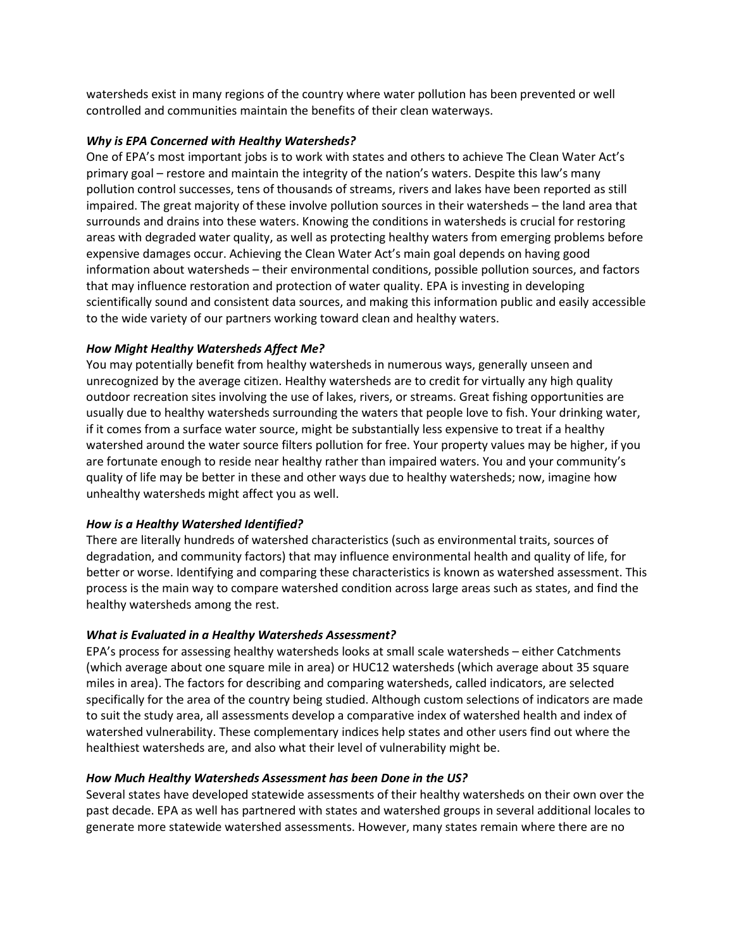watersheds exist in many regions of the country where water pollution has been prevented or well controlled and communities maintain the benefits of their clean waterways.

### *Why is EPA Concerned with Healthy Watersheds?*

One of EPA's most important jobs is to work with states and others to achieve The Clean Water Act's primary goal – restore and maintain the integrity of the nation's waters. Despite this law's many pollution control successes, tens of thousands of streams, rivers and lakes have been reported as still impaired. The great majority of these involve pollution sources in their watersheds – the land area that surrounds and drains into these waters. Knowing the conditions in watersheds is crucial for restoring areas with degraded water quality, as well as protecting healthy waters from emerging problems before expensive damages occur. Achieving the Clean Water Act's main goal depends on having good information about watersheds – their environmental conditions, possible pollution sources, and factors that may influence restoration and protection of water quality. EPA is investing in developing scientifically sound and consistent data sources, and making this information public and easily accessible to the wide variety of our partners working toward clean and healthy waters.

## *How Might Healthy Watersheds Affect Me?*

You may potentially benefit from healthy watersheds in numerous ways, generally unseen and unrecognized by the average citizen. Healthy watersheds are to credit for virtually any high quality outdoor recreation sites involving the use of lakes, rivers, or streams. Great fishing opportunities are usually due to healthy watersheds surrounding the waters that people love to fish. Your drinking water, if it comes from a surface water source, might be substantially less expensive to treat if a healthy watershed around the water source filters pollution for free. Your property values may be higher, if you are fortunate enough to reside near healthy rather than impaired waters. You and your community's quality of life may be better in these and other ways due to healthy watersheds; now, imagine how unhealthy watersheds might affect you as well.

### *How is a Healthy Watershed Identified?*

There are literally hundreds of watershed characteristics (such as environmental traits, sources of degradation, and community factors) that may influence environmental health and quality of life, for better or worse. Identifying and comparing these characteristics is known as watershed assessment. This process is the main way to compare watershed condition across large areas such as states, and find the healthy watersheds among the rest.

### *What is Evaluated in a Healthy Watersheds Assessment?*

EPA's process for assessing healthy watersheds looks at small scale watersheds – either Catchments (which average about one square mile in area) or HUC12 watersheds (which average about 35 square miles in area). The factors for describing and comparing watersheds, called indicators, are selected specifically for the area of the country being studied. Although custom selections of indicators are made to suit the study area, all assessments develop a comparative index of watershed health and index of watershed vulnerability. These complementary indices help states and other users find out where the healthiest watersheds are, and also what their level of vulnerability might be.

### *How Much Healthy Watersheds Assessment has been Done in the US?*

Several states have developed statewide assessments of their healthy watersheds on their own over the past decade. EPA as well has partnered with states and watershed groups in several additional locales to generate more statewide watershed assessments. However, many states remain where there are no